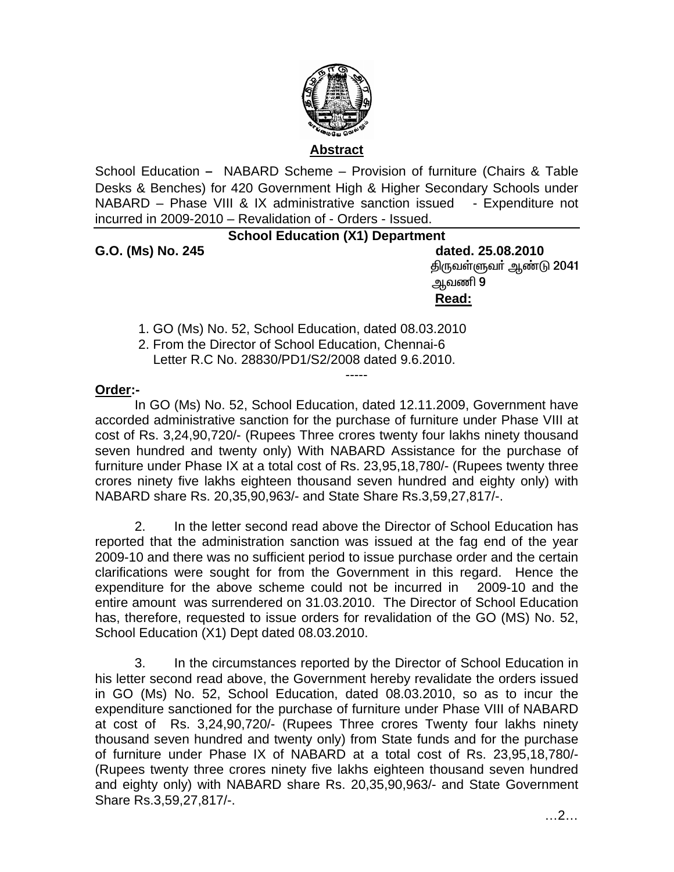

## **Abstract**

School Education - NABARD Scheme – Provision of furniture (Chairs & Table Desks & Benches) for 420 Government High & Higher Secondary Schools under NABARD – Phase VIII & IX administrative sanction issued - Expenditure not incurred in 2009-2010 – Revalidation of - Orders - Issued.

## **School Education (X1) Department**

**G.O. (Ms) No. 245 dated. 25.08.2010**  திருவள்ளுவா் ஆண்டு 2041 ஆவணி 9 **Read:** And the contract of the contract of the contract of the contract of the contract of the contract of the contract of the contract of the contract of the contract of the contract of the contract of the contract of th

1. GO (Ms) No. 52, School Education, dated 08.03.2010

 2. From the Director of School Education, Chennai-6 Letter R.C No. 28830/PD1/S2/2008 dated 9.6.2010.

## **Order:-**

In GO (Ms) No. 52, School Education, dated 12.11.2009, Government have accorded administrative sanction for the purchase of furniture under Phase VIII at cost of Rs. 3,24,90,720/- (Rupees Three crores twenty four lakhs ninety thousand seven hundred and twenty only) With NABARD Assistance for the purchase of furniture under Phase IX at a total cost of Rs. 23,95,18,780/- (Rupees twenty three crores ninety five lakhs eighteen thousand seven hundred and eighty only) with NABARD share Rs. 20,35,90,963/- and State Share Rs.3,59,27,817/-.

-----

2. In the letter second read above the Director of School Education has reported that the administration sanction was issued at the fag end of the year 2009-10 and there was no sufficient period to issue purchase order and the certain clarifications were sought for from the Government in this regard. Hence the expenditure for the above scheme could not be incurred in 2009-10 and the entire amount was surrendered on 31.03.2010. The Director of School Education has, therefore, requested to issue orders for revalidation of the GO (MS) No. 52, School Education (X1) Dept dated 08.03.2010.

3. In the circumstances reported by the Director of School Education in his letter second read above, the Government hereby revalidate the orders issued in GO (Ms) No. 52, School Education, dated 08.03.2010, so as to incur the expenditure sanctioned for the purchase of furniture under Phase VIII of NABARD at cost of Rs. 3,24,90,720/- (Rupees Three crores Twenty four lakhs ninety thousand seven hundred and twenty only) from State funds and for the purchase of furniture under Phase IX of NABARD at a total cost of Rs. 23,95,18,780/- (Rupees twenty three crores ninety five lakhs eighteen thousand seven hundred and eighty only) with NABARD share Rs. 20,35,90,963/- and State Government Share Rs.3,59,27,817/-.